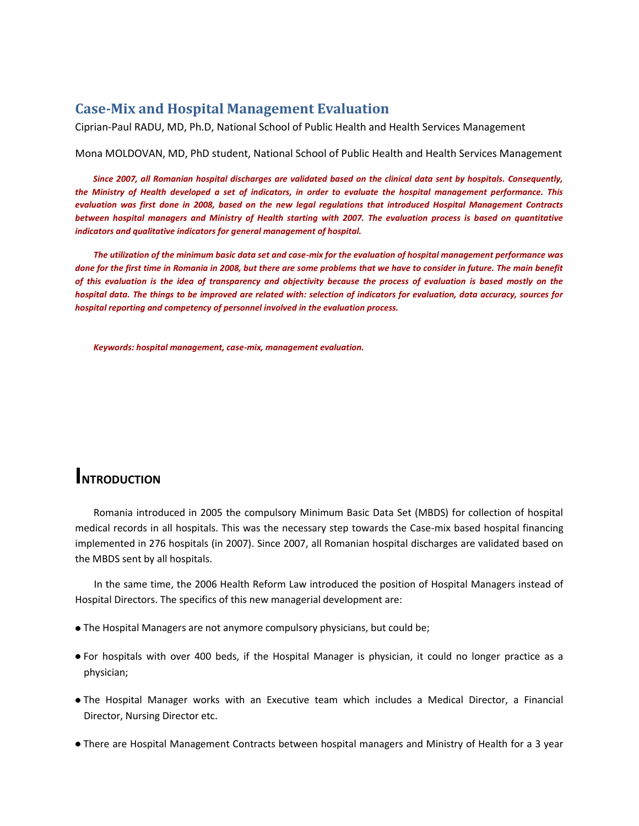#### **Case-Mix and Hospital Management Evaluation**

Ciprian-Paul RADU, MD, Ph.D, National School of Public Health and Health Services Management

#### Mona MOLDOVAN, MD, PhD student, National School of Public Health and Health Services Management

*Since 2007, all Romanian hospital discharges are validated based on the clinical data sent by hospitals. Consequently, the Ministry of Health developed a set of indicators, in order to evaluate the hospital management performance. This evaluation was first done in 2008, based on the new legal regulations that introduced Hospital Management Contracts between hospital managers and Ministry of Health starting with 2007. The evaluation process is based on quantitative indicators and qualitative indicators for general management of hospital.* 

*The utilization of the minimum basic data set and case-mix for the evaluation of hospital management performance was done for the first time in Romania in 2008, but there are some problems that we have to consider in future. The main benefit of this evaluation is the idea of transparency and objectivity because the process of evaluation is based mostly on the hospital data. The things to be improved are related with: selection of indicators for evaluation, data accuracy, sources for hospital reporting and competency of personnel involved in the evaluation process.*

*Keywords: hospital management, case-mix, management evaluation.*

### **INTRODUCTION**

Romania introduced in 2005 the compulsory Minimum Basic Data Set (MBDS) for collection of hospital medical records in all hospitals. This was the necessary step towards the Case-mix based hospital financing implemented in 276 hospitals (in 2007). Since 2007, all Romanian hospital discharges are validated based on the MBDS sent by all hospitals.

In the same time, the 2006 Health Reform Law introduced the position of Hospital Managers instead of Hospital Directors. The specifics of this new managerial development are:

- The Hospital Managers are not anymore compulsory physicians, but could be;
- For hospitals with over 400 beds, if the Hospital Manager is physician, it could no longer practice as a physician;
- The Hospital Manager works with an Executive team which includes a Medical Director, a Financial Director, Nursing Director etc.
- There are Hospital Management Contracts between hospital managers and Ministry of Health for a 3 year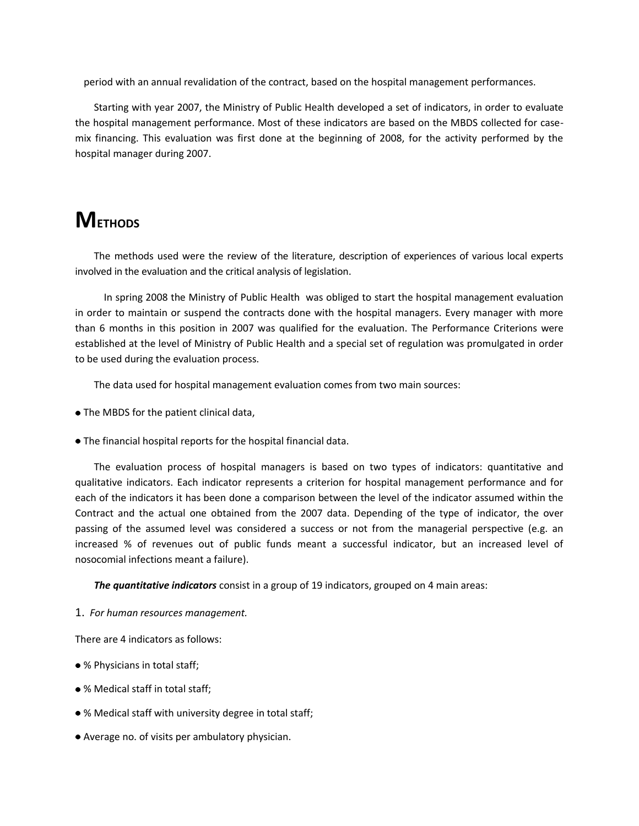period with an annual revalidation of the contract, based on the hospital management performances.

Starting with year 2007, the Ministry of Public Health developed a set of indicators, in order to evaluate the hospital management performance. Most of these indicators are based on the MBDS collected for casemix financing. This evaluation was first done at the beginning of 2008, for the activity performed by the hospital manager during 2007.

## **METHODS**

The methods used were the review of the literature, description of experiences of various local experts involved in the evaluation and the critical analysis of legislation.

 In spring 2008 the Ministry of Public Health was obliged to start the hospital management evaluation in order to maintain or suspend the contracts done with the hospital managers. Every manager with more than 6 months in this position in 2007 was qualified for the evaluation. The Performance Criterions were established at the level of Ministry of Public Health and a special set of regulation was promulgated in order to be used during the evaluation process.

The data used for hospital management evaluation comes from two main sources:

- The MBDS for the patient clinical data,
- The financial hospital reports for the hospital financial data.

The evaluation process of hospital managers is based on two types of indicators: quantitative and qualitative indicators. Each indicator represents a criterion for hospital management performance and for each of the indicators it has been done a comparison between the level of the indicator assumed within the Contract and the actual one obtained from the 2007 data. Depending of the type of indicator, the over passing of the assumed level was considered a success or not from the managerial perspective (e.g. an increased % of revenues out of public funds meant a successful indicator, but an increased level of nosocomial infections meant a failure).

*The quantitative indicators* consist in a group of 19 indicators, grouped on 4 main areas:

1. *For human resources management.* 

There are 4 indicators as follows:

- % Physicians in total staff;
- % Medical staff in total staff;
- % Medical staff with university degree in total staff;
- Average no. of visits per ambulatory physician.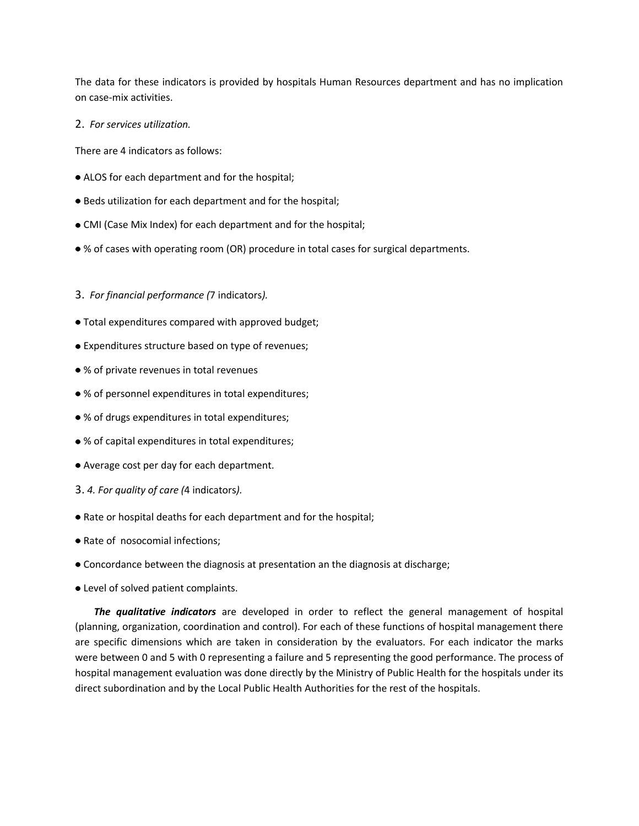The data for these indicators is provided by hospitals Human Resources department and has no implication on case-mix activities.

2. *For services utilization.* 

There are 4 indicators as follows:

- ALOS for each department and for the hospital;
- Beds utilization for each department and for the hospital;
- CMI (Case Mix Index) for each department and for the hospital;
- % of cases with operating room (OR) procedure in total cases for surgical departments.

#### 3. *For financial performance (*7 indicators*).*

- Total expenditures compared with approved budget;
- Expenditures structure based on type of revenues;
- % of private revenues in total revenues
- % of personnel expenditures in total expenditures;
- % of drugs expenditures in total expenditures;
- % of capital expenditures in total expenditures;
- Average cost per day for each department.
- 3. *4. For quality of care (*4 indicators*).*
- Rate or hospital deaths for each department and for the hospital;
- Rate of nosocomial infections;
- Concordance between the diagnosis at presentation an the diagnosis at discharge;
- Level of solved patient complaints.

*The qualitative indicators* are developed in order to reflect the general management of hospital (planning, organization, coordination and control). For each of these functions of hospital management there are specific dimensions which are taken in consideration by the evaluators. For each indicator the marks were between 0 and 5 with 0 representing a failure and 5 representing the good performance. The process of hospital management evaluation was done directly by the Ministry of Public Health for the hospitals under its direct subordination and by the Local Public Health Authorities for the rest of the hospitals.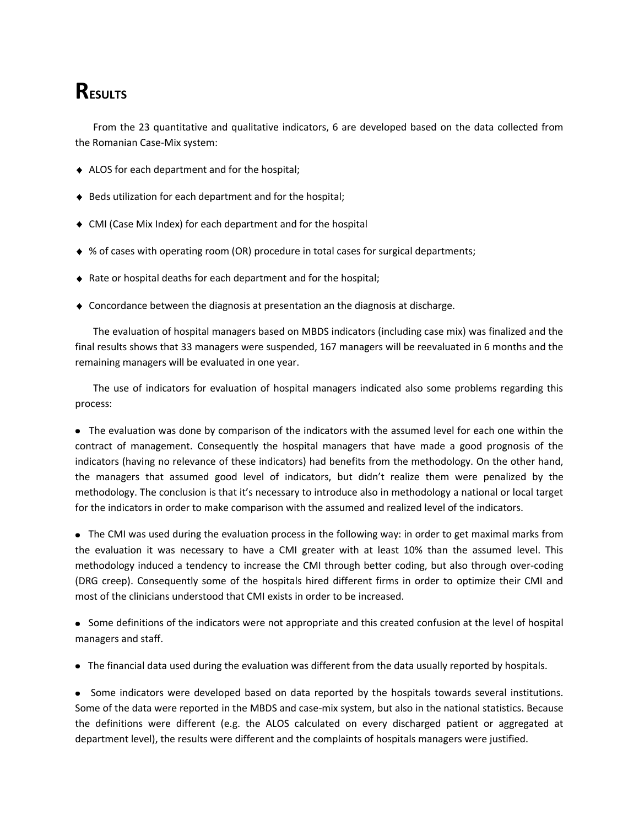# **RESULTS**

From the 23 quantitative and qualitative indicators, 6 are developed based on the data collected from the Romanian Case-Mix system:

- ALOS for each department and for the hospital;
- ♦ Beds utilization for each department and for the hospital;
- CMI (Case Mix Index) for each department and for the hospital
- % of cases with operating room (OR) procedure in total cases for surgical departments;
- ◆ Rate or hospital deaths for each department and for the hospital;
- $\triangle$  Concordance between the diagnosis at presentation an the diagnosis at discharge.

The evaluation of hospital managers based on MBDS indicators (including case mix) was finalized and the final results shows that 33 managers were suspended, 167 managers will be reevaluated in 6 months and the remaining managers will be evaluated in one year.

The use of indicators for evaluation of hospital managers indicated also some problems regarding this process:

 The evaluation was done by comparison of the indicators with the assumed level for each one within the contract of management. Consequently the hospital managers that have made a good prognosis of the indicators (having no relevance of these indicators) had benefits from the methodology. On the other hand, the managers that assumed good level of indicators, but didn't realize them were penalized by the methodology. The conclusion is that it's necessary to introduce also in methodology a national or local target for the indicators in order to make comparison with the assumed and realized level of the indicators.

• The CMI was used during the evaluation process in the following way: in order to get maximal marks from the evaluation it was necessary to have a CMI greater with at least 10% than the assumed level. This methodology induced a tendency to increase the CMI through better coding, but also through over-coding (DRG creep). Consequently some of the hospitals hired different firms in order to optimize their CMI and most of the clinicians understood that CMI exists in order to be increased.

 Some definitions of the indicators were not appropriate and this created confusion at the level of hospital managers and staff.

The financial data used during the evaluation was different from the data usually reported by hospitals.

• Some indicators were developed based on data reported by the hospitals towards several institutions. Some of the data were reported in the MBDS and case-mix system, but also in the national statistics. Because the definitions were different (e.g. the ALOS calculated on every discharged patient or aggregated at department level), the results were different and the complaints of hospitals managers were justified.